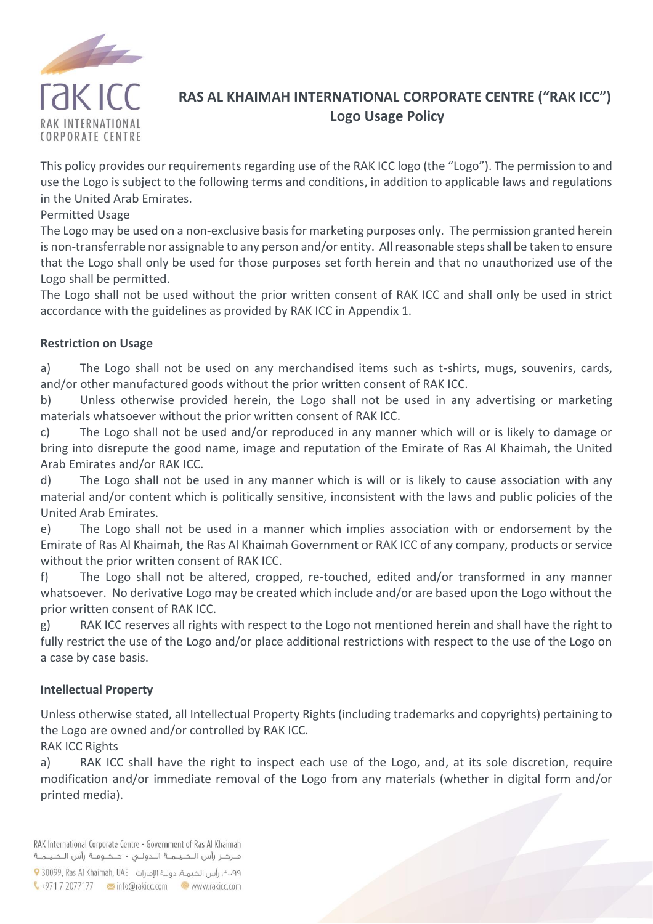

## **RAS AL KHAIMAH INTERNATIONAL CORPORATE CENTRE ("RAK ICC") Logo Usage Policy**

This policy provides our requirements regarding use of the RAK ICC logo (the "Logo"). The permission to and use the Logo is subject to the following terms and conditions, in addition to applicable laws and regulations in the United Arab Emirates.

#### Permitted Usage

The Logo may be used on a non-exclusive basis for marketing purposes only. The permission granted herein is non-transferrable nor assignable to any person and/or entity. All reasonable steps shall be taken to ensure that the Logo shall only be used for those purposes set forth herein and that no unauthorized use of the Logo shall be permitted.

The Logo shall not be used without the prior written consent of RAK ICC and shall only be used in strict accordance with the guidelines as provided by RAK ICC in Appendix 1.

### **Restriction on Usage**

a) The Logo shall not be used on any merchandised items such as t-shirts, mugs, souvenirs, cards, and/or other manufactured goods without the prior written consent of RAK ICC.

b) Unless otherwise provided herein, the Logo shall not be used in any advertising or marketing materials whatsoever without the prior written consent of RAK ICC.

c) The Logo shall not be used and/or reproduced in any manner which will or is likely to damage or bring into disrepute the good name, image and reputation of the Emirate of Ras Al Khaimah, the United Arab Emirates and/or RAK ICC.

d) The Logo shall not be used in any manner which is will or is likely to cause association with any material and/or content which is politically sensitive, inconsistent with the laws and public policies of the United Arab Emirates.

e) The Logo shall not be used in a manner which implies association with or endorsement by the Emirate of Ras Al Khaimah, the Ras Al Khaimah Government or RAK ICC of any company, products or service without the prior written consent of RAK ICC.

f) The Logo shall not be altered, cropped, re-touched, edited and/or transformed in any manner whatsoever. No derivative Logo may be created which include and/or are based upon the Logo without the prior written consent of RAK ICC.

g) RAK ICC reserves all rights with respect to the Logo not mentioned herein and shall have the right to fully restrict the use of the Logo and/or place additional restrictions with respect to the use of the Logo on a case by case basis.

### **Intellectual Property**

Unless otherwise stated, all Intellectual Property Rights (including trademarks and copyrights) pertaining to the Logo are owned and/or controlled by RAK ICC.

RAK ICC Rights

a) RAK ICC shall have the right to inspect each use of the Logo, and, at its sole discretion, require modification and/or immediate removal of the Logo from any materials (whether in digital form and/or printed media).

RAK International Corporate Centre - Government of Ras Al Khaimah مـركـز رأس الـخـيــمــة الــدولـــى - حــكــومــة رأس الـخـيــمــة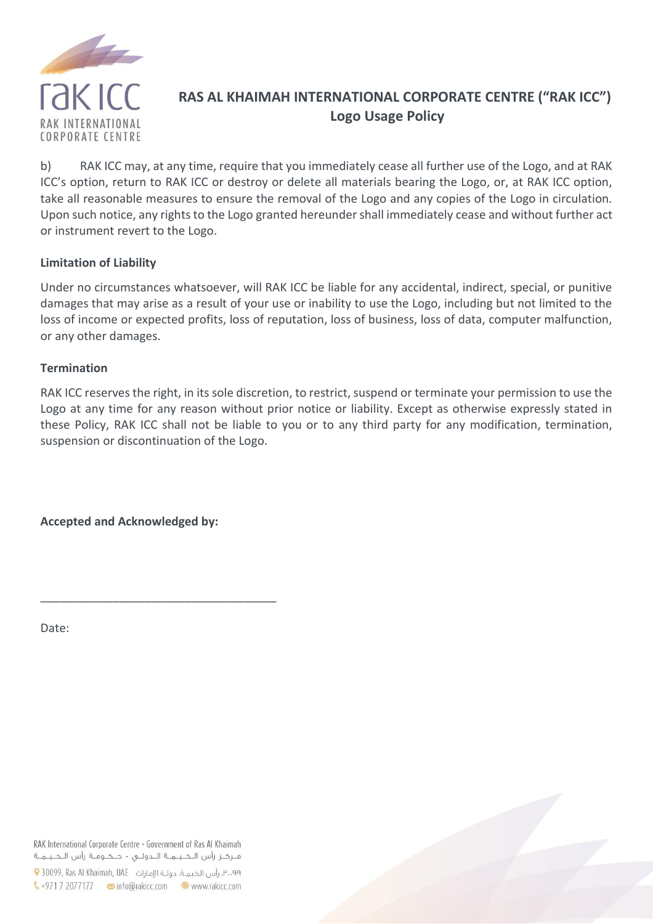

## **RAS AL KHAIMAH INTERNATIONAL CORPORATE CENTRE ("RAK ICC") Logo Usage Policy**

b) RAK ICC may, at any time, require that you immediately cease all further use of the Logo, and at RAK ICC's option, return to RAK ICC or destroy or delete all materials bearing the Logo, or, at RAK ICC option, take all reasonable measures to ensure the removal of the Logo and any copies of the Logo in circulation. Upon such notice, any rights to the Logo granted hereunder shall immediately cease and without further act or instrument revert to the Logo.

#### **Limitation of Liability**

Under no circumstances whatsoever, will RAK ICC be liable for any accidental, indirect, special, or punitive damages that may arise as a result of your use or inability to use the Logo, including but not limited to the loss of income or expected profits, loss of reputation, loss of business, loss of data, computer malfunction, or any other damages.

#### **Termination**

RAK ICC reserves the right, in its sole discretion, to restrict, suspend or terminate your permission to use the Logo at any time for any reason without prior notice or liability. Except as otherwise expressly stated in these Policy, RAK ICC shall not be liable to you or to any third party for any modification, termination, suspension or discontinuation of the Logo.

**Accepted and Acknowledged by:**

\_\_\_\_\_\_\_\_\_\_\_\_\_\_\_\_\_\_\_\_\_\_\_\_\_\_\_\_\_\_\_\_\_\_\_\_

Date:

RAK International Corporate Centre - Government of Ras Al Khaimah مـركـز رأس الـخـيــمــة الــدولـــى - حــكــومــة رأس الـخـيــمــة

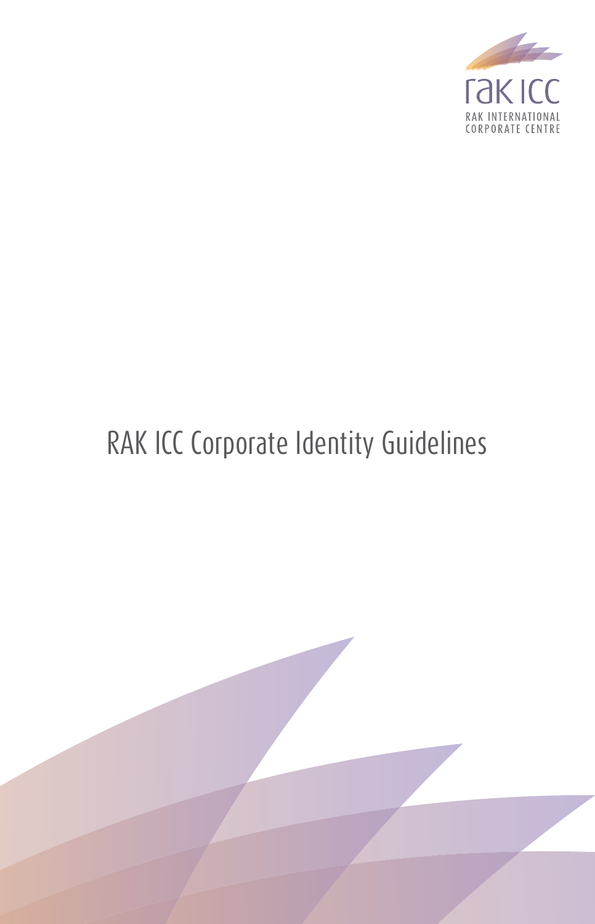

## RAK ICC Corporate Identity Guidelines

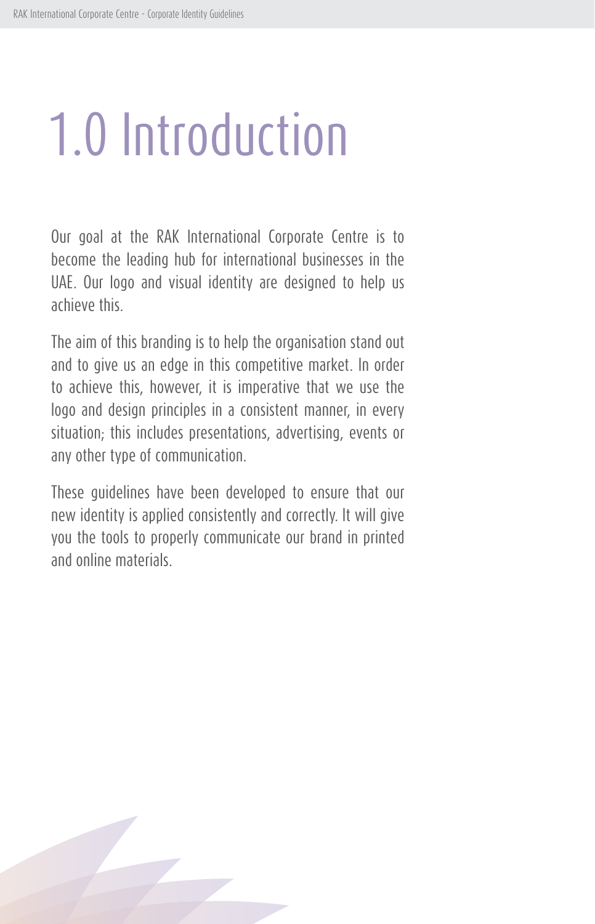# 1.0 Introduction

Our goal at the RAK International Corporate Centre is to become the leading hub for international businesses in the UAE. Our logo and visual identity are designed to help us achieve this.

The aim of this branding is to help the organisation stand out and to give us an edge in this competitive market. In order to achieve this, however, it is imperative that we use the logo and design principles in a consistent manner, in every situation; this includes presentations, advertising, events or any other type of communication.

These guidelines have been developed to ensure that our new identity is applied consistently and correctly. It will give you the tools to properly communicate our brand in printed and online materials.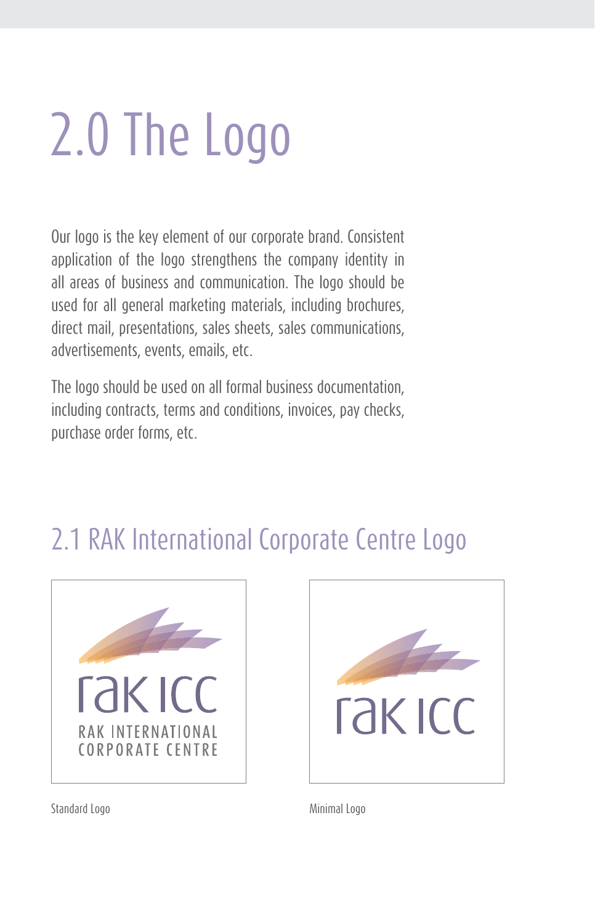# 2.0 The Logo

Our logo is the key element of our corporate brand. Consistent application of the logo strengthens the company identity in all areas of business and communication. The logo should be used for all general marketing materials, including brochures, direct mail, presentations, sales sheets, sales communications, advertisements, events, emails, etc.

The logo should be used on all formal business documentation, including contracts, terms and conditions, invoices, pay checks, purchase order forms, etc.

## 2.1 RAK International Corporate Centre Logo





Standard Logo Minimal Logo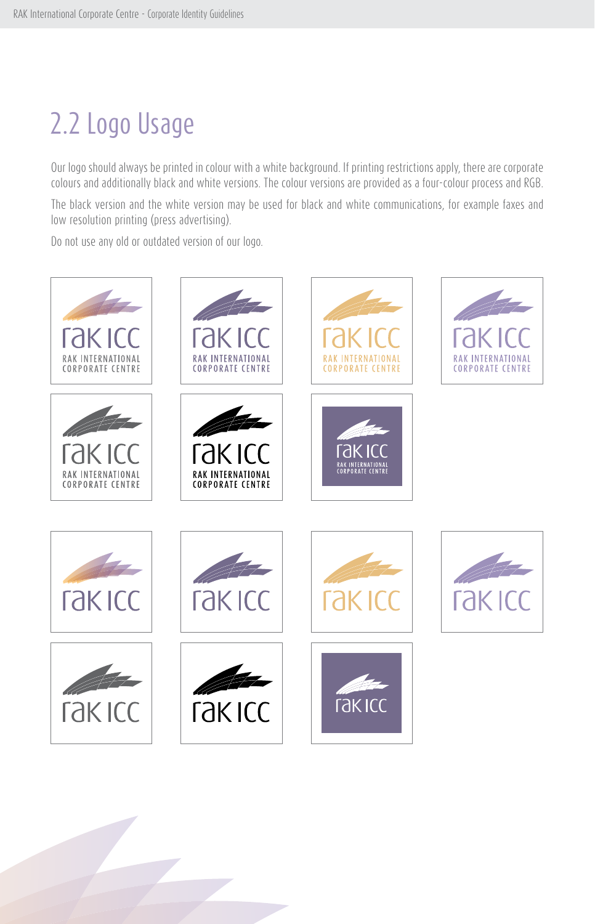## 2.2 Logo Usage

Our logo should always be printed in colour with a white background. If printing restrictions apply, there are corporate colours and additionally black and white versions. The colour versions are provided as a four-colour process and RGB.

The black version and the white version may be used for black and white communications, for example faxes and low resolution printing (press advertising).

Do not use any old or outdated version of our logo.

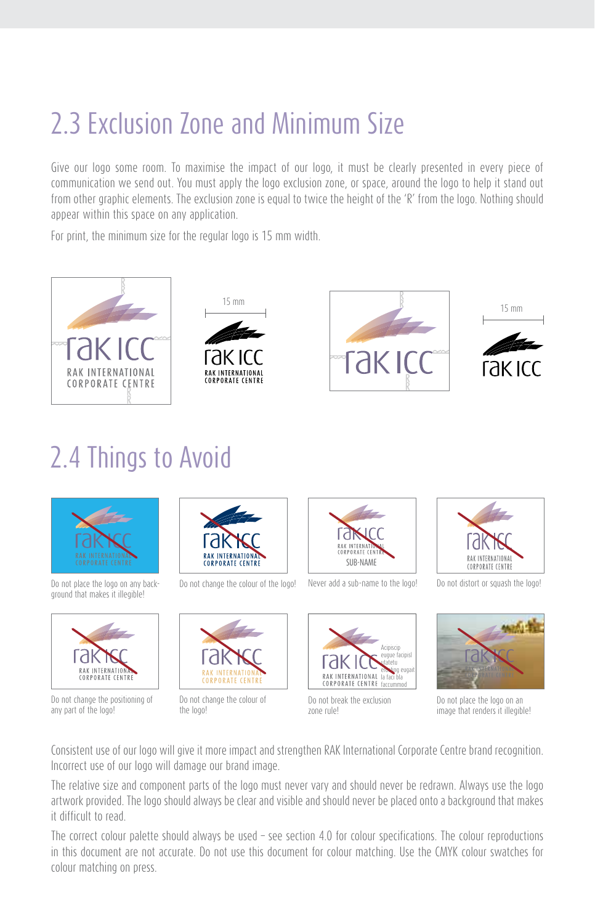## 2.3 Exclusion Zone and Minimum Size

Give our logo some room. To maximise the impact of our logo, it must be clearly presented in every piece of communication we send out. You must apply the logo exclusion zone, or space, around the logo to help it stand out from other graphic elements. The exclusion zone is equal to twice the height of the 'R' from the logo. Nothing should appear within this space on any application.

For print, the minimum size for the regular logo is 15 mm width.



## 2.4 Things to Avoid



Do not place the logo on any background that makes it illegible!



Do not change the positioning of any part of the logo!



Do not change the colour of the logo!



Do not change the colour of the logo!



Never add a sub-name to the logo! Do not distort or squash the logo!



Do not break the exclusion zone rule!





Do not place the logo on an image that renders it illegible!

Consistent use of our logo will give it more impact and strengthen RAK International Corporate Centre brand recognition. Incorrect use of our logo will damage our brand image.

The relative size and component parts of the logo must never vary and should never be redrawn. Always use the logo artwork provided. The logo should always be clear and visible and should never be placed onto a background that makes it difficult to read.

The correct colour palette should always be used – see section 4.0 for colour specifications. The colour reproductions in this document are not accurate. Do not use this document for colour matching. Use the CMYK colour swatches for colour matching on press.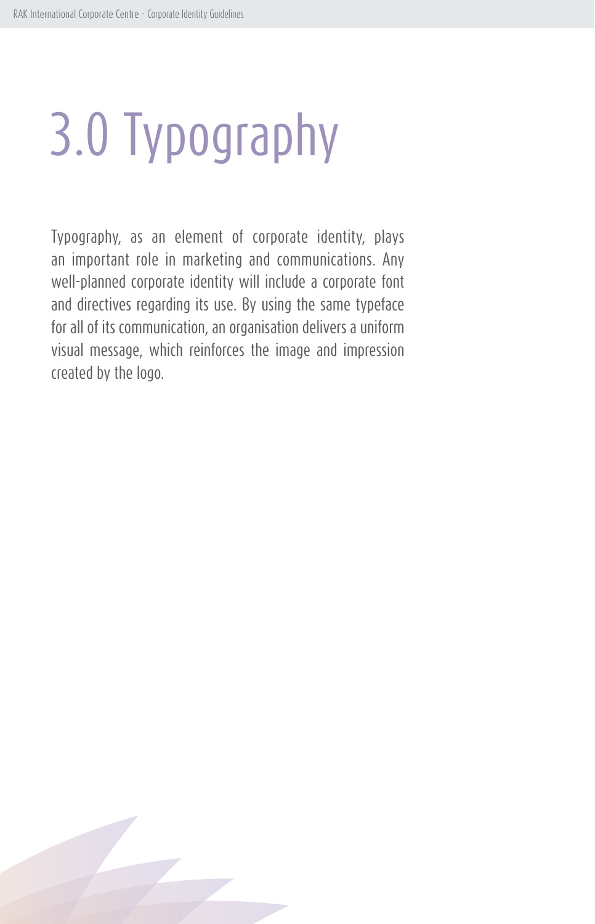# 3.0 Typography

Typography, as an element of corporate identity, plays an important role in marketing and communications. Any well-planned corporate identity will include a corporate font and directives regarding its use. By using the same typeface for all of its communication, an organisation delivers a uniform visual message, which reinforces the image and impression created by the logo.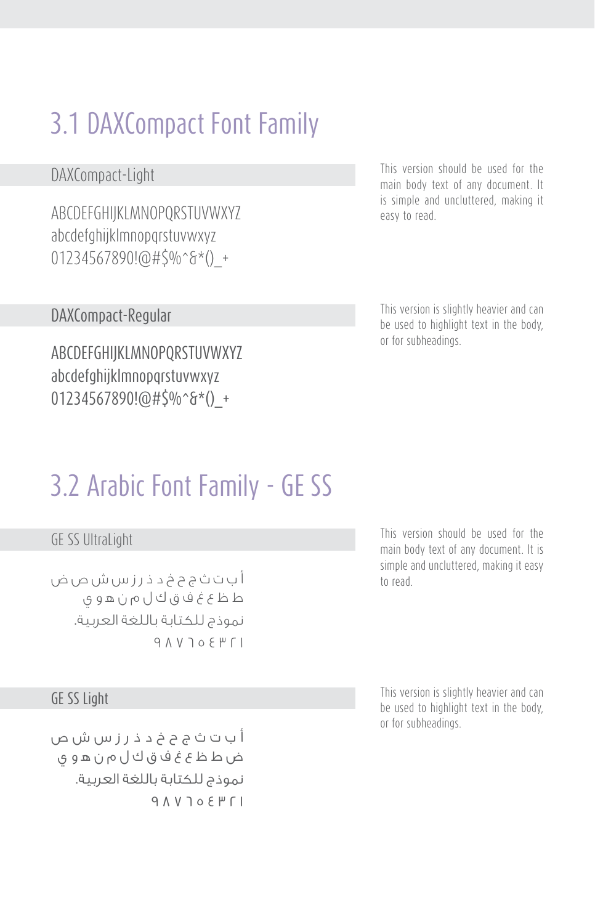## 3.1 DAXCompact Font Family

ABCDEFGHIJKLMNOPQRSTUVWXYZ abcdefghijklmnopqrstuvwxyz 01234567890!@#\$%^&\*()\_+

DAXCompact-Light This version should be used for the main body text of any document. It is simple and uncluttered, making it easy to read.

> This version is slightly heavier and can be used to highlight text in the body, or for subheadings.

#### DAXCompact-Regular

ABCDEFGHIJKLMNOPQRSTUVWXYZ abcdefghijklmnopqrstuvwxyz 01234567890!@#\$%^&\*()\_+

## 3.2 Arabic Font Family - GE SS

### GE SS UltraLight

أ ب ت ث ج ح خ د ذ ر ز س ش ص ض ط ظ ع غ ف ق ك ل م ن ه و ي نموذج للكتابة باللغة العربية.  $9 *N*$   $10 *Q*$ 

#### GE SS Light

أ ب ت ث ج ح خ د ذ ر ز س ش ص ض ط ظ ع غ ف ق ك ل م ن ه و ي نموذج للكتابة باللغة العربية.  $9 A V 70 F H 1$  This version should be used for the main body text of any document. It is simple and uncluttered, making it easy to read.

This version is slightly heavier and can be used to highlight text in the body, or for subheadings.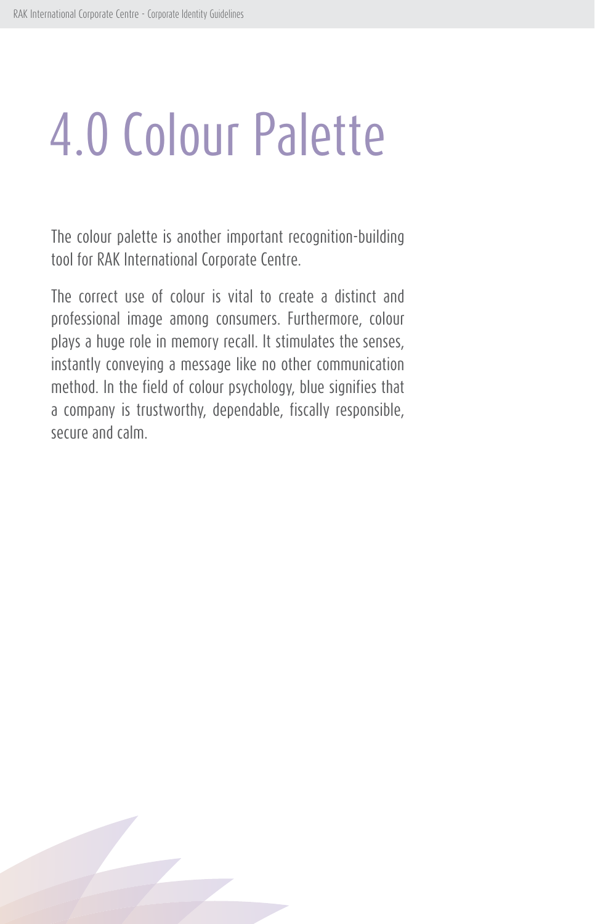## 4.0 Colour Palette

The colour palette is another important recognition-building tool for RAK International Corporate Centre.

The correct use of colour is vital to create a distinct and professional image among consumers. Furthermore, colour plays a huge role in memory recall. It stimulates the senses, instantly conveying a message like no other communication method. In the field of colour psychology, blue signifies that a company is trustworthy, dependable, fiscally responsible, secure and calm.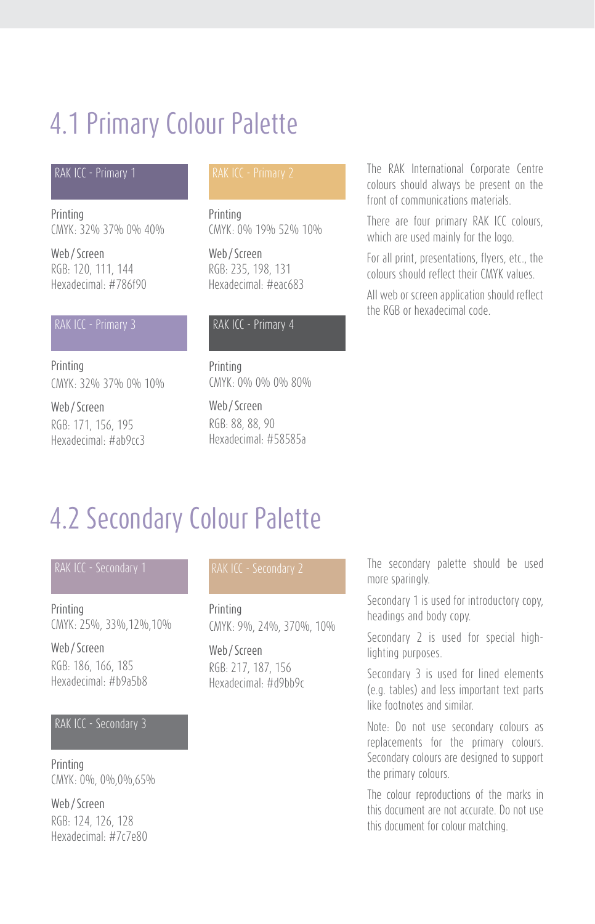## 4.1 Primary Colour Palette

#### RAK ICC - Primary 1 RAK ICC - Primary 2

Printing CMYK: 32% 37% 0% 40%

Web/Screen RGB: 120, 111, 144 Hexadecimal: #786f90

#### RAK ICC - Primary 3

Printing CMYK: 32% 37% 0% 10%

Web/Screen RGB: 171, 156, 195 Hexadecimal: #ab9cc3

Printing CMYK: 0% 19% 52% 10%

Web/Screen RGB: 235, 198, 131 Hexadecimal: #eac683

#### RAK ICC - Primary 4

Printing CMYK: 0% 0% 0% 80%

Web/Screen RGB: 88, 88, 90 Hexadecimal: #58585a The RAK International Corporate Centre colours should always be present on the front of communications materials.

There are four primary RAK ICC colours, which are used mainly for the logo.

For all print, presentations, flyers, etc., the colours should reflect their CMYK values.

All web or screen application should reflect the RGB or hexadecimal code.

## 4.2 Secondary Colour Palette

**Printing** CMYK: 25%, 33%,12%,10%

Web/Screen RGB: 186, 166, 185 Hexadecimal: #b9a5b8

#### RAK ICC - Secondary 3

Printing CMYK: 0%, 0%,0%,65%

Web/Screen RGB: 124, 126, 128 Hexadecimal: #7c7e80

#### RAK ICC - Secondary 2

Printing CMYK: 9%, 24%, 370%, 10%

Web/Screen RGB: 217, 187, 156 Hexadecimal: #d9bb9c The secondary palette should be used more sparingly.

Secondary 1 is used for introductory copy, headings and body copy.

Secondary 2 is used for special highlighting purposes.

Secondary 3 is used for lined elements (e.g. tables) and less important text parts like footnotes and similar.

Note: Do not use secondary colours as replacements for the primary colours. Secondary colours are designed to support the primary colours.

The colour reproductions of the marks in this document are not accurate. Do not use this document for colour matching.